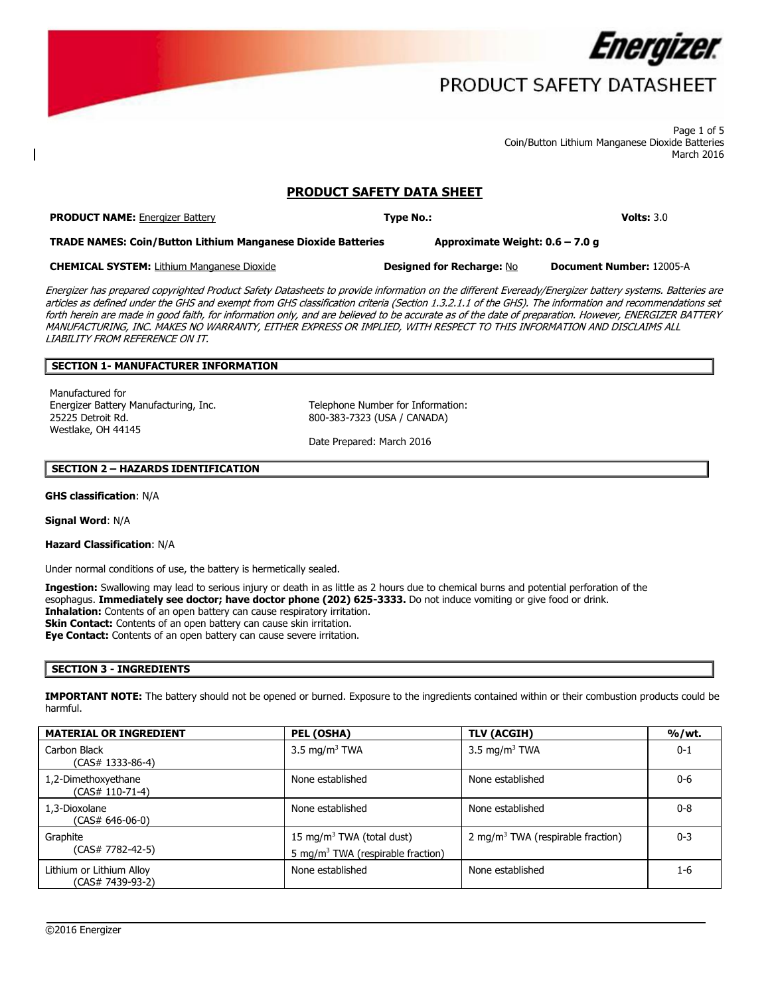

## PRODUCT SAFETY DATASHEET

 Page 1 of 5 Coin/Button Lithium Manganese Dioxide Batteries March 2016

## **PRODUCT SAFETY DATA SHEET**

**PRODUCT NAME:** Energizer Battery **Type No.: Volts:** 3.0

 **TRADE NAMES: Coin/Button Lithium Manganese Dioxide Batteries Approximate Weight: 0.6 – 7.0 g** 

**CHEMICAL SYSTEM:** Lithium Manganese Dioxide **Designed for Recharge:** No **Document Number:** 12005-A

 MANUFACTURING, INC. MAKES NO WARRANTY, EITHER EXPRESS OR IMPLIED, WITH RESPECT TO THIS INFORMATION AND DISCLAIMS ALL Energizer has prepared copyrighted Product Safety Datasheets to provide information on the different Eveready/Energizer battery systems. Batteries are articles as defined under the GHS and exempt from GHS classification criteria (Section 1.3.2.1.1 of the GHS). The information and recommendations set forth herein are made in good faith, for information only, and are believed to be accurate as of the date of preparation. However, ENERGIZER BATTERY LIABILITY FROM REFERENCE ON IT.

**Designed for Recharge: No** 

### **SECTION 1- MANUFACTURER INFORMATION**

Manufactured for Energizer Battery Manufacturing, Inc. Telephone Number for Information: 25225 Detroit Rd. 800-383-7323 (USA / CANADA) Westlake, OH 44145

Date Prepared: March 2016

### **SECTION 2 – HAZARDS IDENTIFICATION**

### **GHS classification**: N/A

**Signal Word**: N/A

### **Hazard Classification**: N/A

Under normal conditions of use, the battery is hermetically sealed.

 esophagus. **Immediately see doctor; have doctor phone (202) 625-3333.** Do not induce vomiting or give food or drink. **Eye Contact:** Contents of an open battery can cause severe irritation. **Ingestion:** Swallowing may lead to serious injury or death in as little as 2 hours due to chemical burns and potential perforation of the **Inhalation:** Contents of an open battery can cause respiratory irritation. **Skin Contact:** Contents of an open battery can cause skin irritation.

### **SECTION 3 - INGREDIENTS**

**IMPORTANT NOTE:** The battery should not be opened or burned. Exposure to the ingredients contained within or their combustion products could be harmful.

| <b>MATERIAL OR INGREDIENT</b>                | PEL (OSHA)                                                                             | TLV (ACGIH)                                   | %/wt.   |
|----------------------------------------------|----------------------------------------------------------------------------------------|-----------------------------------------------|---------|
| Carbon Black<br>$(CAS# 1333-86-4)$           | 3.5 mg/m <sup>3</sup> TWA                                                              | 3.5 mg/m <sup>3</sup> TWA                     | $0 - 1$ |
| 1,2-Dimethoxyethane<br>(CAS# 110-71-4)       | None established                                                                       | None established                              | $0 - 6$ |
| 1,3-Dioxolane<br>(CAS# 646-06-0)             | None established                                                                       | None established                              | $0 - 8$ |
| Graphite<br>(CAS# 7782-42-5)                 | 15 mg/m <sup>3</sup> TWA (total dust)<br>5 mg/m <sup>3</sup> TWA (respirable fraction) | 2 mg/m <sup>3</sup> TWA (respirable fraction) | $0 - 3$ |
| Lithium or Lithium Alloy<br>(CAS# 7439-93-2) | None established                                                                       | None established                              | 1-6     |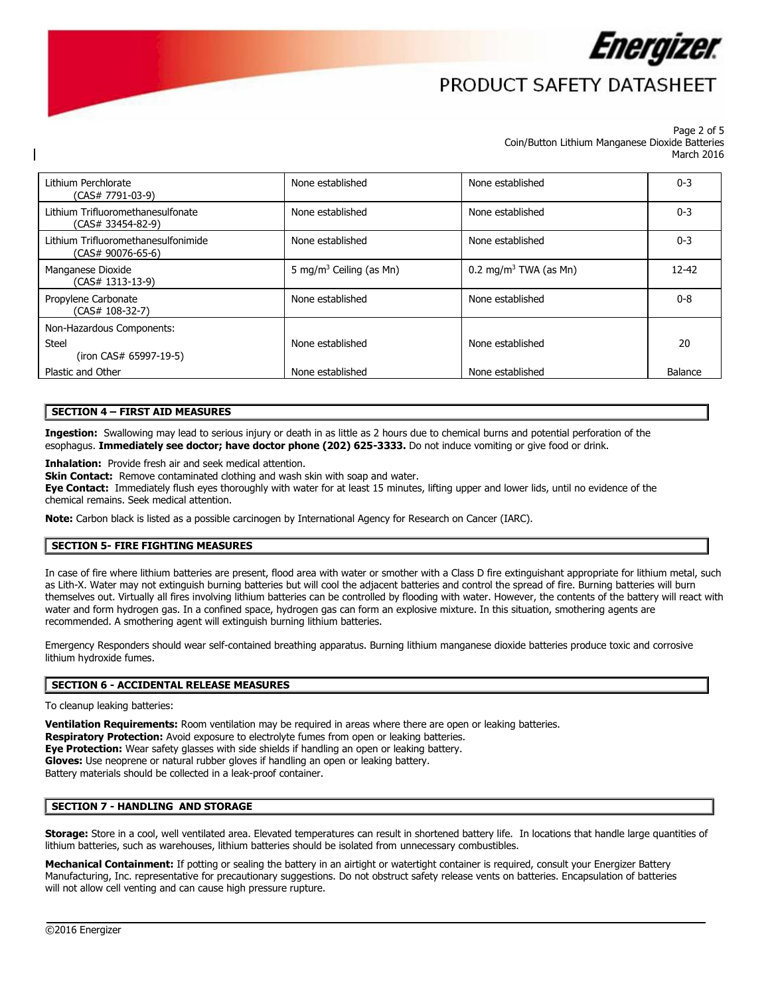

# PRODUCT SAFFTY DATASHFFT

#### Page 2 of 5 Coin/Button Lithium Manganese Dioxide Batteries March 2016

| Lithium Perchlorate<br>(CAS# 7791-03-9)                    | None established                    | None established                  | $0 - 3$   |
|------------------------------------------------------------|-------------------------------------|-----------------------------------|-----------|
| Lithium Trifluoromethanesulfonate<br>(CAS# 33454-82-9)     | None established                    | None established                  | $0 - 3$   |
| Lithium Trifluoromethanesulfonimide<br>$(CAS# 90076-65-6)$ | None established                    | None established                  | $0 - 3$   |
| Manganese Dioxide<br>$(CAS# 1313-13-9)$                    | 5 mg/m <sup>3</sup> Ceiling (as Mn) | 0.2 mg/m <sup>3</sup> TWA (as Mn) | $12 - 42$ |
| Propylene Carbonate<br>(CAS# 108-32-7)                     | None established                    | None established                  | $0 - 8$   |
| Non-Hazardous Components:                                  |                                     |                                   |           |
| Steel<br>(iron CAS# 65997-19-5)                            | None established                    | None established                  | 20        |
| Plastic and Other                                          | None established                    | None established                  | Balance   |

## **SECTION 4 – FIRST AID MEASURES**

 **Ingestion:** Swallowing may lead to serious injury or death in as little as 2 hours due to chemical burns and potential perforation of the  esophagus. **Immediately see doctor; have doctor phone (202) 625-3333.** Do not induce vomiting or give food or drink.

**Inhalation:** Provide fresh air and seek medical attention.

**Skin Contact:** Remove contaminated clothing and wash skin with soap and water.

**Eye Contact:** Immediately flush eyes thoroughly with water for at least 15 minutes, lifting upper and lower lids, until no evidence of the chemical remains. Seek medical attention.

**Note:** Carbon black is listed as a possible carcinogen by International Agency for Research on Cancer (IARC).

### **SECTION 5- FIRE FIGHTING MEASURES**

recommended. A smothering agent will extinguish burning lithium batteries. In case of fire where lithium batteries are present, flood area with water or smother with a Class D fire extinguishant appropriate for lithium metal, such as Lith-X. Water may not extinguish burning batteries but will cool the adjacent batteries and control the spread of fire. Burning batteries will burn themselves out. Virtually all fires involving lithium batteries can be controlled by flooding with water. However, the contents of the battery will react with water and form hydrogen gas. In a confined space, hydrogen gas can form an explosive mixture. In this situation, smothering agents are

Emergency Responders should wear self-contained breathing apparatus. Burning lithium manganese dioxide batteries produce toxic and corrosive lithium hydroxide fumes.

#### **SECTION 6 - ACCIDENTAL RELEASE MEASURES**

To cleanup leaking batteries:

 **Eye Protection:** Wear safety glasses with side shields if handling an open or leaking battery. **Ventilation Requirements:** Room ventilation may be required in areas where there are open or leaking batteries. **Respiratory Protection:** Avoid exposure to electrolyte fumes from open or leaking batteries. **Gloves:** Use neoprene or natural rubber gloves if handling an open or leaking battery. Battery materials should be collected in a leak-proof container.

### **SECTION 7 - HANDLING AND STORAGE**

 **Storage:** Store in a cool, well ventilated area. Elevated temperatures can result in shortened battery life. In locations that handle large quantities of lithium batteries, such as warehouses, lithium batteries should be isolated from unnecessary combustibles.

Mechanical Containment: If potting or sealing the battery in an airtight or watertight container is required, consult your Energizer Battery Manufacturing, Inc. representative for precautionary suggestions. Do not obstruct safety release vents on batteries. Encapsulation of batteries will not allow cell venting and can cause high pressure rupture.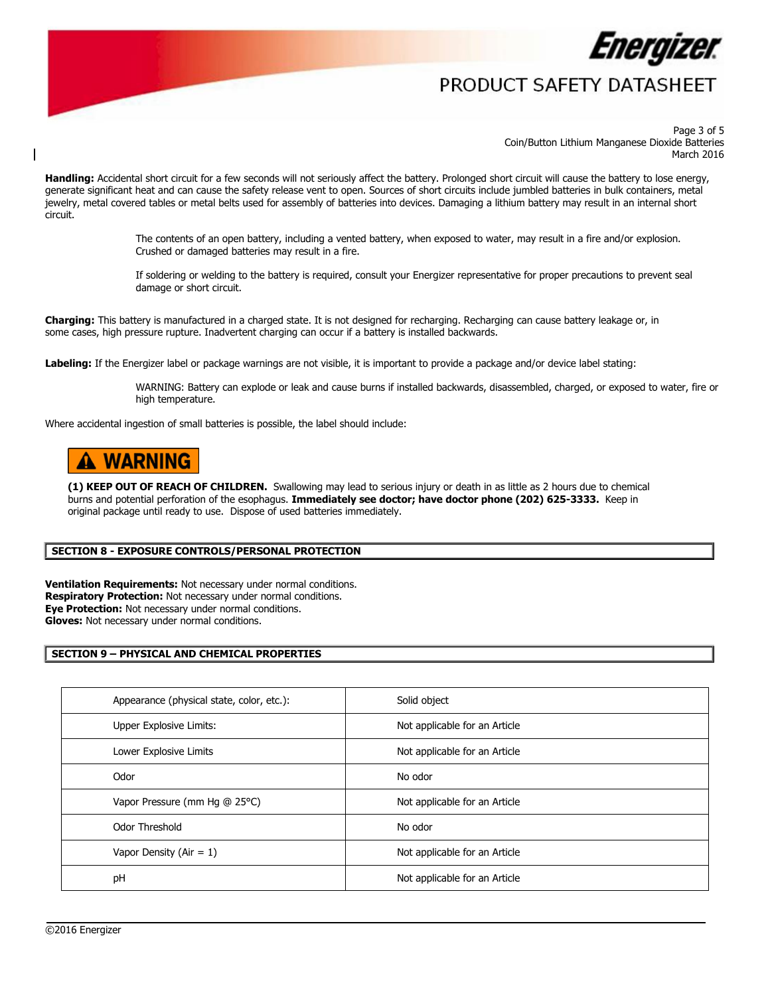

## PRODUCT SAFFTY DATASHFFT

 Page 3 of 5 Coin/Button Lithium Manganese Dioxide Batteries March 2016

Handling: Accidental short circuit for a few seconds will not seriously affect the battery. Prolonged short circuit will cause the battery to lose energy, generate significant heat and can cause the safety release vent to open. Sources of short circuits include jumbled batteries in bulk containers, metal jewelry, metal covered tables or metal belts used for assembly of batteries into devices. Damaging a lithium battery may result in an internal short

The contents of an open battery, including a vented battery, when exposed to water, may result in a fire and/or explosion. Crushed or damaged batteries may result in a fire. circuit.<br>The contents of an open battery, including a vented battery, when exposed to water, may result in a fire and/or explosion.<br>Crushed or damaged batteries may result in a fire.<br>If soldering or welding to the battery

damage or short circuit.

**Charging:** This battery is manufactured in a charged state. It is not designed for recharging. Recharging can cause battery leakage or, in some cases, high pressure rupture. Inadvertent charging can occur if a battery is installed backwards.

Labeling: If the Energizer label or package warnings are not visible, it is important to provide a package and/or device label stating:

high temperature. WARNING: Battery can explode or leak and cause burns if installed backwards, disassembled, charged, or exposed to water, fire or

Where accidental ingestion of small batteries is possible, the label should include:

# A WARNING

 **(1) KEEP OUT OF REACH OF CHILDREN.** Swallowing may lead to serious injury or death in as little as 2 hours due to chemical  burns and potential perforation of the esophagus. **Immediately see doctor; have doctor phone (202) 625-3333.** Keep in original package until ready to use. Dispose of used batteries immediately.

### **SECTION 8 - EXPOSURE CONTROLS/PERSONAL PROTECTION**

**Ventilation Requirements:** Not necessary under normal conditions. **Respiratory Protection:** Not necessary under normal conditions. **Eye Protection:** Not necessary under normal conditions. **Gloves:** Not necessary under normal conditions.

### **SECTION 9 – PHYSICAL AND CHEMICAL PROPERTIES**

| Appearance (physical state, color, etc.): | Solid object                  |
|-------------------------------------------|-------------------------------|
| Upper Explosive Limits:                   | Not applicable for an Article |
| Lower Explosive Limits                    | Not applicable for an Article |
| Odor                                      | No odor                       |
| Vapor Pressure (mm Hg @ 25°C)             | Not applicable for an Article |
| Odor Threshold                            | No odor                       |
| Vapor Density (Air = $1$ )                | Not applicable for an Article |
| pH                                        | Not applicable for an Article |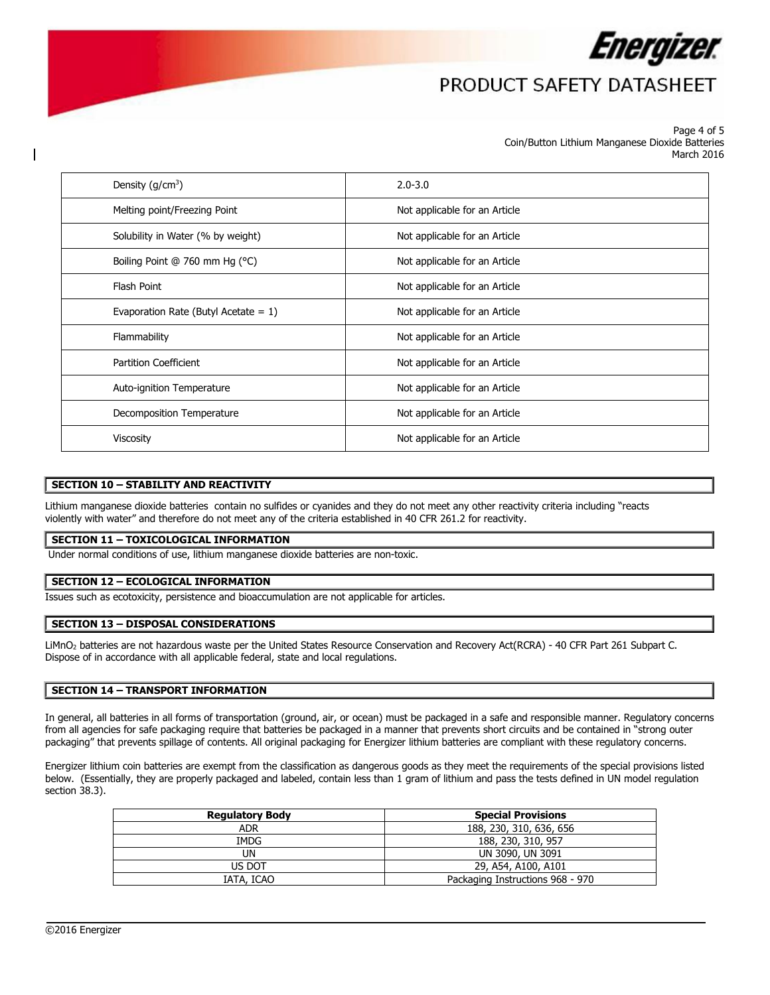

## PRODUCT SAFETY DATASHEET

#### Page 4 of 5 Coin/Button Lithium Manganese Dioxide Batteries March 2016

| Density $(g/cm3)$                       | $2.0 - 3.0$                   |
|-----------------------------------------|-------------------------------|
| Melting point/Freezing Point            | Not applicable for an Article |
| Solubility in Water (% by weight)       | Not applicable for an Article |
| Boiling Point @ 760 mm Hg (°C)          | Not applicable for an Article |
| Flash Point                             | Not applicable for an Article |
| Evaporation Rate (Butyl Acetate = $1$ ) | Not applicable for an Article |
| Flammability                            | Not applicable for an Article |
| <b>Partition Coefficient</b>            | Not applicable for an Article |
| Auto-ignition Temperature               | Not applicable for an Article |
| Decomposition Temperature               | Not applicable for an Article |
| <b>Viscosity</b>                        | Not applicable for an Article |

## **SECTION 10 – STABILITY AND REACTIVITY**

 Lithium manganese dioxide batteries contain no sulfides or cyanides and they do not meet any other reactivity criteria including "reacts violently with water" and therefore do not meet any of the criteria established in 40 CFR 261.2 for reactivity.

### **SECTION 11 – TOXICOLOGICAL INFORMATION**

Under normal conditions of use, lithium manganese dioxide batteries are non-toxic.

### **SECTION 12 – ECOLOGICAL INFORMATION**

Issues such as ecotoxicity, persistence and bioaccumulation are not applicable for articles.

### **SECTION 13 – DISPOSAL CONSIDERATIONS**

LiMnO2 batteries are not hazardous waste per the United States Resource Conservation and Recovery Act(RCRA) - 40 CFR Part 261 Subpart C. Dispose of in accordance with all applicable federal, state and local regulations.

### **SECTION 14 – TRANSPORT INFORMATION**

In general, all batteries in all forms of transportation (ground, air, or ocean) must be packaged in a safe and responsible manner. Regulatory concerns from all agencies for safe packaging require that batteries be packaged in a manner that prevents short circuits and be contained in "strong outer packaging" that prevents spillage of contents. All original packaging for Energizer lithium batteries are compliant with these regulatory concerns.

 Energizer lithium coin batteries are exempt from the classification as dangerous goods as they meet the requirements of the special provisions listed below. (Essentially, they are properly packaged and labeled, contain less than 1 gram of lithium and pass the tests defined in UN model regulation section 38.3).

| <b>Regulatory Body</b> | <b>Special Provisions</b>        |  |  |
|------------------------|----------------------------------|--|--|
| <b>ADR</b>             | 188, 230, 310, 636, 656          |  |  |
| IMDG                   | 188, 230, 310, 957               |  |  |
| UN                     | UN 3090, UN 3091                 |  |  |
| US DOT                 | 29, A54, A100, A101              |  |  |
| IATA, ICAO             | Packaging Instructions 968 - 970 |  |  |